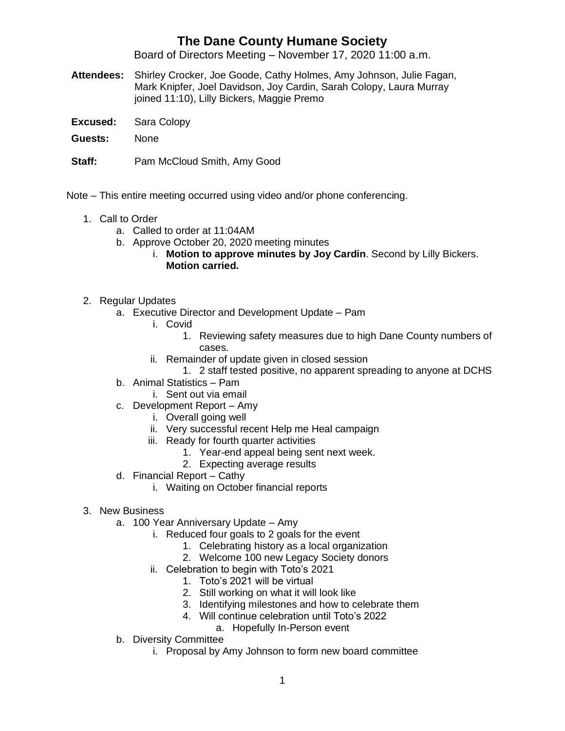## **The Dane County Humane Society**

Board of Directors Meeting – November 17, 2020 11:00 a.m.

- **Attendees:** Shirley Crocker, Joe Goode, Cathy Holmes, Amy Johnson, Julie Fagan, Mark Knipfer, Joel Davidson, Joy Cardin, Sarah Colopy, Laura Murray joined 11:10), Lilly Bickers, Maggie Premo
- **Excused:** Sara Colopy
- **Guests:** None
- **Staff:** Pam McCloud Smith, Amy Good

Note – This entire meeting occurred using video and/or phone conferencing.

- 1. Call to Order
	- a. Called to order at 11:04AM
	- b. Approve October 20, 2020 meeting minutes
		- i. **Motion to approve minutes by Joy Cardin**. Second by Lilly Bickers. **Motion carried.**
- 2. Regular Updates
	- a. Executive Director and Development Update Pam
		- i. Covid
			- 1. Reviewing safety measures due to high Dane County numbers of cases.
		- ii. Remainder of update given in closed session
			- 1. 2 staff tested positive, no apparent spreading to anyone at DCHS
	- b. Animal Statistics Pam
		- i. Sent out via email
	- c. Development Report Amy
		- i. Overall going well
		- ii. Very successful recent Help me Heal campaign
		- iii. Ready for fourth quarter activities
			- 1. Year-end appeal being sent next week.
			- 2. Expecting average results
	- d. Financial Report Cathy
		- i. Waiting on October financial reports
- 3. New Business
	- a. 100 Year Anniversary Update Amy
		- i. Reduced four goals to 2 goals for the event
			- 1. Celebrating history as a local organization
			- 2. Welcome 100 new Legacy Society donors
		- ii. Celebration to begin with Toto's 2021
			- 1. Toto's 2021 will be virtual
			- 2. Still working on what it will look like
			- 3. Identifying milestones and how to celebrate them
			- 4. Will continue celebration until Toto's 2022
				- a. Hopefully In-Person event
	- b. Diversity Committee
		- i. Proposal by Amy Johnson to form new board committee